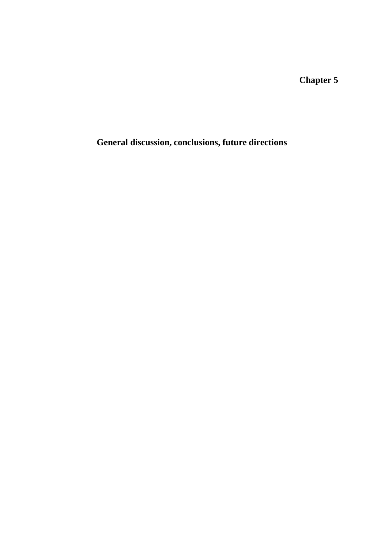**Chapter 5**

**General discussion, conclusions, future directions**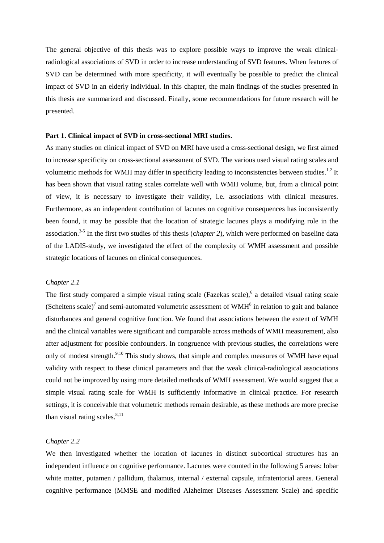The general objective of this thesis was to explore possible ways to improve the weak clinicalradiological associations of SVD in order to increase understanding of SVD features. When features of SVD can be determined with more specificity, it will eventually be possible to predict the clinical impact of SVD in an elderly individual. In this chapter, the main findings of the studies presented in this thesis are summarized and discussed. Finally, some recommendations for future research will be presented.

### **Part 1. Clinical impact of SVD in cross-sectional MRI studies.**

As many studies on clinical impact of SVD on MRI have used a cross-sectional design, we first aimed to increase specificity on cross-sectional assessment of SVD. The various used visual rating scales and volumetric methods for WMH may differ in specificity leading to inconsistencies between studies.<sup>1,2</sup> It has been shown that visual rating scales correlate well with WMH volume, but, from a clinical point of view, it is necessary to investigate their validity, i.e. associations with clinical measures. Furthermore, as an independent contribution of lacunes on cognitive consequences has inconsistently been found, it may be possible that the location of strategic lacunes plays a modifying role in the association.3-5 In the first two studies of this thesis (c*hapter 2*), which were performed on baseline data of the LADIS-study, we investigated the effect of the complexity of WMH assessment and possible strategic locations of lacunes on clinical consequences.

## *Chapter 2.1*

The first study compared a simple visual rating scale (Fazekas scale),<sup>6</sup> a detailed visual rating scale (Scheltens scale)<sup>7</sup> and semi-automated volumetric assessment of WMH $<sup>8</sup>$  in relation to gait and balance</sup> disturbances and general cognitive function. We found that associations between the extent of WMH and the clinical variables were significant and comparable across methods of WMH measurement, also after adjustment for possible confounders. In congruence with previous studies, the correlations were only of modest strength.<sup>9,10</sup> This study shows, that simple and complex measures of WMH have equal validity with respect to these clinical parameters and that the weak clinical-radiological associations could not be improved by using more detailed methods of WMH assessment. We would suggest that a simple visual rating scale for WMH is sufficiently informative in clinical practice. For research settings, it is conceivable that volumetric methods remain desirable, as these methods are more precise than visual rating scales. $8,11$ 

# *Chapter 2.2*

We then investigated whether the location of lacunes in distinct subcortical structures has an independent influence on cognitive performance. Lacunes were counted in the following 5 areas: lobar white matter, putamen / pallidum, thalamus, internal / external capsule, infratentorial areas. General cognitive performance (MMSE and modified Alzheimer Diseases Assessment Scale) and specific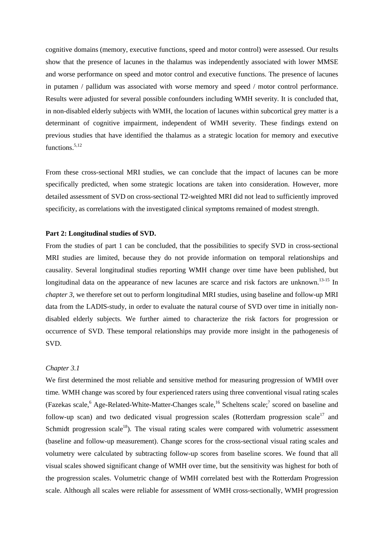cognitive domains (memory, executive functions, speed and motor control) were assessed. Our results show that the presence of lacunes in the thalamus was independently associated with lower MMSE and worse performance on speed and motor control and executive functions. The presence of lacunes in putamen / pallidum was associated with worse memory and speed / motor control performance. Results were adjusted for several possible confounders including WMH severity. It is concluded that, in non-disabled elderly subjects with WMH, the location of lacunes within subcortical grey matter is a determinant of cognitive impairment, independent of WMH severity. These findings extend on previous studies that have identified the thalamus as a strategic location for memory and executive functions.<sup>5,12</sup>

From these cross-sectional MRI studies, we can conclude that the impact of lacunes can be more specifically predicted, when some strategic locations are taken into consideration. However, more detailed assessment of SVD on cross-sectional T2-weighted MRI did not lead to sufficiently improved specificity, as correlations with the investigated clinical symptoms remained of modest strength.

## **Part 2: Longitudinal studies of SVD.**

From the studies of part 1 can be concluded, that the possibilities to specify SVD in cross-sectional MRI studies are limited, because they do not provide information on temporal relationships and causality. Several longitudinal studies reporting WMH change over time have been published, but longitudinal data on the appearance of new lacunes are scarce and risk factors are unknown.<sup>13-15</sup> In *chapter 3*, we therefore set out to perform longitudinal MRI studies, using baseline and follow-up MRI data from the LADIS-study, in order to evaluate the natural course of SVD over time in initially nondisabled elderly subjects. We further aimed to characterize the risk factors for progression or occurrence of SVD. These temporal relationships may provide more insight in the pathogenesis of SVD.

# *Chapter 3.1*

We first determined the most reliable and sensitive method for measuring progression of WMH over time*.* WMH change was scored by four experienced raters using three conventional visual rating scales (Fazekas scale, <sup>6</sup> Age-Related-White-Matter-Changes scale, <sup>16</sup> Scheltens scale;<sup>7</sup> scored on baseline and follow-up scan) and two dedicated visual progression scales (Rotterdam progression scale<sup>17</sup> and Schmidt progression scale<sup>18</sup>). The visual rating scales were compared with volumetric assessment (baseline and follow-up measurement). Change scores for the cross-sectional visual rating scales and volumetry were calculated by subtracting follow-up scores from baseline scores. We found that all visual scales showed significant change of WMH over time, but the sensitivity was highest for both of the progression scales. Volumetric change of WMH correlated best with the Rotterdam Progression scale. Although all scales were reliable for assessment of WMH cross-sectionally, WMH progression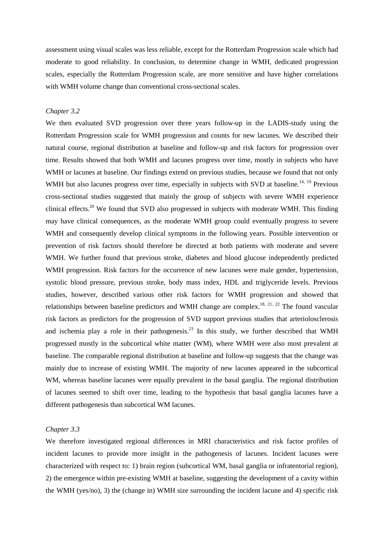assessment using visual scales was less reliable, except for the Rotterdam Progression scale which had moderate to good reliability. In conclusion, to determine change in WMH, dedicated progression scales, especially the Rotterdam Progression scale, are more sensitive and have higher correlations with WMH volume change than conventional cross-sectional scales.

## *Chapter 3.2*

We then evaluated SVD progression over three years follow-up in the LADIS-study using the Rotterdam Progression scale for WMH progression and counts for new lacunes. We described their natural course, regional distribution at baseline and follow-up and risk factors for progression over time. Results showed that both WMH and lacunes progress over time, mostly in subjects who have WMH or lacunes at baseline. Our findings extend on previous studies, because we found that not only WMH but also lacunes progress over time, especially in subjects with SVD at baseline.<sup>14, 19</sup> Previous cross-sectional studies suggested that mainly the group of subjects with severe WMH experience clinical effects.<sup>20</sup> We found that SVD also progressed in subjects with moderate WMH. This finding may have clinical consequences, as the moderate WMH group could eventually progress to severe WMH and consequently develop clinical symptoms in the following years. Possible intervention or prevention of risk factors should therefore be directed at both patients with moderate and severe WMH. We further found that previous stroke, diabetes and blood glucose independently predicted WMH progression. Risk factors for the occurrence of new lacunes were male gender, hypertension, systolic blood pressure, previous stroke, body mass index, HDL and triglyceride levels. Previous studies, however, described various other risk factors for WMH progression and showed that relationships between baseline predictors and WMH change are complex.<sup>18, 21, 22</sup> The found vascular risk factors as predictors for the progression of SVD support previous studies that arteriolosclerosis and ischemia play a role in their pathogenesis.<sup>23</sup> In this study, we further described that WMH progressed mostly in the subcortical white matter (WM), where WMH were also most prevalent at baseline. The comparable regional distribution at baseline and follow-up suggests that the change was mainly due to increase of existing WMH. The majority of new lacunes appeared in the subcortical WM, whereas baseline lacunes were equally prevalent in the basal ganglia. The regional distribution of lacunes seemed to shift over time, leading to the hypothesis that basal ganglia lacunes have a different pathogenesis than subcortical WM lacunes.

# *Chapter 3.3*

We therefore investigated regional differences in MRI characteristics and risk factor profiles of incident lacunes to provide more insight in the pathogenesis of lacunes. Incident lacunes were characterized with respect to: 1) brain region (subcortical WM, basal ganglia or infratentorial region), 2) the emergence within pre-existing WMH at baseline, suggesting the development of a cavity within the WMH (yes/no), 3) the (change in) WMH size surrounding the incident lacune and 4) specific risk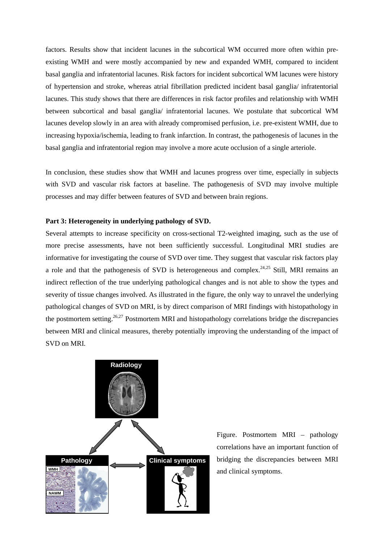factors. Results show that incident lacunes in the subcortical WM occurred more often within preexisting WMH and were mostly accompanied by new and expanded WMH, compared to incident basal ganglia and infratentorial lacunes. Risk factors for incident subcortical WM lacunes were history of hypertension and stroke, whereas atrial fibrillation predicted incident basal ganglia/ infratentorial lacunes. This study shows that there are differences in risk factor profiles and relationship with WMH between subcortical and basal ganglia/ infratentorial lacunes. We postulate that subcortical WM lacunes develop slowly in an area with already compromised perfusion, i.e. pre-existent WMH, due to increasing hypoxia/ischemia, leading to frank infarction. In contrast, the pathogenesis of lacunes in the basal ganglia and infratentorial region may involve a more acute occlusion of a single arteriole.

In conclusion, these studies show that WMH and lacunes progress over time, especially in subjects with SVD and vascular risk factors at baseline. The pathogenesis of SVD may involve multiple processes and may differ between features of SVD and between brain regions.

## **Part 3: Heterogeneity in underlying pathology of SVD.**

Several attempts to increase specificity on cross-sectional T2-weighted imaging, such as the use of more precise assessments, have not been sufficiently successful. Longitudinal MRI studies are informative for investigating the course of SVD over time. They suggest that vascular risk factors play a role and that the pathogenesis of SVD is heterogeneous and complex.<sup>24,25</sup> Still, MRI remains an indirect reflection of the true underlying pathological changes and is not able to show the types and severity of tissue changes involved. As illustrated in the figure, the only way to unravel the underlying pathological changes of SVD on MRI, is by direct comparison of MRI findings with histopathology in the postmortem setting.<sup>26,27</sup> Postmortem MRI and histopathology correlations bridge the discrepancies between MRI and clinical measures, thereby potentially improving the understanding of the impact of SVD on MRI.



Figure. Postmortem MRI – pathology correlations have an important function of bridging the discrepancies between MRI and clinical symptoms.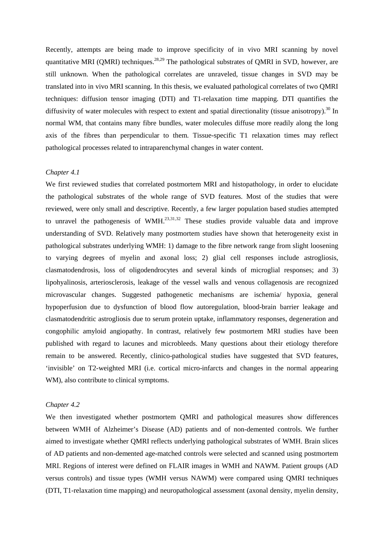Recently, attempts are being made to improve specificity of in vivo MRI scanning by novel quantitative MRI (OMRI) techniques.<sup>28,29</sup> The pathological substrates of OMRI in SVD, however, are still unknown. When the pathological correlates are unraveled, tissue changes in SVD may be translated into in vivo MRI scanning. In this thesis, we evaluated pathological correlates of two QMRI techniques: diffusion tensor imaging (DTI) and T1-relaxation time mapping. DTI quantifies the diffusivity of water molecules with respect to extent and spatial directionality (tissue anisotropy).<sup>30</sup> In normal WM, that contains many fibre bundles, water molecules diffuse more readily along the long axis of the fibres than perpendicular to them. Tissue-specific T1 relaxation times may reflect pathological processes related to intraparenchymal changes in water content.

# *Chapter 4.1*

We first reviewed studies that correlated postmortem MRI and histopathology, in order to elucidate the pathological substrates of the whole range of SVD features. Most of the studies that were reviewed, were only small and descriptive. Recently, a few larger population based studies attempted to unravel the pathogenesis of WMH. $^{23,31,32}$  These studies provide valuable data and improve understanding of SVD. Relatively many postmortem studies have shown that heterogeneity exist in pathological substrates underlying WMH: 1) damage to the fibre network range from slight loosening to varying degrees of myelin and axonal loss; 2) glial cell responses include astrogliosis, clasmatodendrosis, loss of oligodendrocytes and several kinds of microglial responses; and 3) lipohyalinosis, arteriosclerosis, leakage of the vessel walls and venous collagenosis are recognized microvascular changes. Suggested pathogenetic mechanisms are ischemia/ hypoxia, general hypoperfusion due to dysfunction of blood flow autoregulation, blood-brain barrier leakage and clasmatodendritic astrogliosis due to serum protein uptake, inflammatory responses, degeneration and congophilic amyloid angiopathy. In contrast, relatively few postmortem MRI studies have been published with regard to lacunes and microbleeds. Many questions about their etiology therefore remain to be answered. Recently, clinico-pathological studies have suggested that SVD features, 'invisible' on T2-weighted MRI (i.e. cortical micro-infarcts and changes in the normal appearing WM), also contribute to clinical symptoms.

### *Chapter 4.2*

We then investigated whether postmortem QMRI and pathological measures show differences between WMH of Alzheimer's Disease (AD) patients and of non-demented controls. We further aimed to investigate whether QMRI reflects underlying pathological substrates of WMH. Brain slices of AD patients and non-demented age-matched controls were selected and scanned using postmortem MRI. Regions of interest were defined on FLAIR images in WMH and NAWM. Patient groups (AD versus controls) and tissue types (WMH versus NAWM) were compared using QMRI techniques (DTI, T1-relaxation time mapping) and neuropathological assessment (axonal density, myelin density,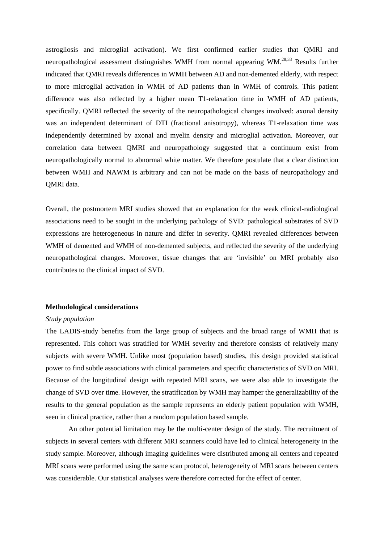astrogliosis and microglial activation). We first confirmed earlier studies that QMRI and neuropathological assessment distinguishes WMH from normal appearing WM.<sup>28,33</sup> Results further indicated that QMRI reveals differences in WMH between AD and non-demented elderly, with respect to more microglial activation in WMH of AD patients than in WMH of controls. This patient difference was also reflected by a higher mean T1-relaxation time in WMH of AD patients, specifically. QMRI reflected the severity of the neuropathological changes involved: axonal density was an independent determinant of DTI (fractional anisotropy), whereas T1-relaxation time was independently determined by axonal and myelin density and microglial activation. Moreover, our correlation data between QMRI and neuropathology suggested that a continuum exist from neuropathologically normal to abnormal white matter. We therefore postulate that a clear distinction between WMH and NAWM is arbitrary and can not be made on the basis of neuropathology and QMRI data.

Overall, the postmortem MRI studies showed that an explanation for the weak clinical-radiological associations need to be sought in the underlying pathology of SVD: pathological substrates of SVD expressions are heterogeneous in nature and differ in severity. QMRI revealed differences between WMH of demented and WMH of non-demented subjects, and reflected the severity of the underlying neuropathological changes. Moreover, tissue changes that are 'invisible' on MRI probably also contributes to the clinical impact of SVD.

# **Methodological considerations**

#### *Study population*

The LADIS-study benefits from the large group of subjects and the broad range of WMH that is represented. This cohort was stratified for WMH severity and therefore consists of relatively many subjects with severe WMH. Unlike most (population based) studies, this design provided statistical power to find subtle associations with clinical parameters and specific characteristics of SVD on MRI. Because of the longitudinal design with repeated MRI scans, we were also able to investigate the change of SVD over time. However, the stratification by WMH may hamper the generalizability of the results to the general population as the sample represents an elderly patient population with WMH, seen in clinical practice, rather than a random population based sample.

An other potential limitation may be the multi-center design of the study. The recruitment of subjects in several centers with different MRI scanners could have led to clinical heterogeneity in the study sample. Moreover, although imaging guidelines were distributed among all centers and repeated MRI scans were performed using the same scan protocol, heterogeneity of MRI scans between centers was considerable. Our statistical analyses were therefore corrected for the effect of center.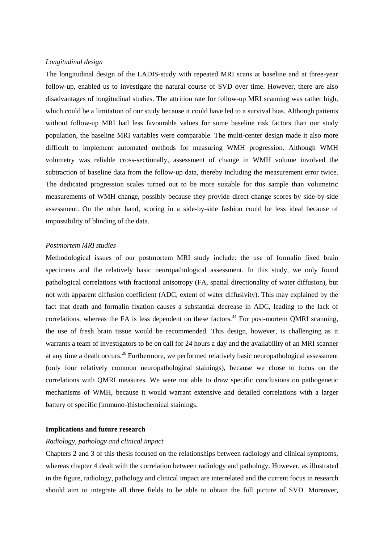## *Longitudinal design*

The longitudinal design of the LADIS-study with repeated MRI scans at baseline and at three-year follow-up, enabled us to investigate the natural course of SVD over time. However, there are also disadvantages of longitudinal studies. The attrition rate for follow-up MRI scanning was rather high, which could be a limitation of our study because it could have led to a survival bias. Although patients without follow-up MRI had less favourable values for some baseline risk factors than our study population, the baseline MRI variables were comparable. The multi-center design made it also more difficult to implement automated methods for measuring WMH progression. Although WMH volumetry was reliable cross-sectionally, assessment of change in WMH volume involved the subtraction of baseline data from the follow-up data, thereby including the measurement error twice. The dedicated progression scales turned out to be more suitable for this sample than volumetric measurements of WMH change, possibly because they provide direct change scores by side-by-side assessment. On the other hand, scoring in a side-by-side fashion could be less ideal because of impossibility of blinding of the data.

#### *Postmortem MRI studies*

Methodological issues of our postmortem MRI study include: the use of formalin fixed brain specimens and the relatively basic neuropathological assessment. In this study, we only found pathological correlations with fractional anisotropy (FA, spatial directionality of water diffusion), but not with apparent diffusion coefficient (ADC, extent of water diffusivity). This may explained by the fact that death and formalin fixation causes a substantial decrease in ADC, leading to the lack of correlations, whereas the FA is less dependent on these factors.<sup>34</sup> For post-mortem QMRI scanning, the use of fresh brain tissue would be recommended. This design, however, is challenging as it warrants a team of investigators to be on call for 24 hours a day and the availability of an MRI scanner at any time a death occurs.<sup>26</sup> Furthermore, we performed relatively basic neuropathological assessment (only four relatively common neuropathological stainings), because we chose to focus on the correlations with QMRI measures. We were not able to draw specific conclusions on pathogenetic mechanisms of WMH, because it would warrant extensive and detailed correlations with a larger battery of specific (immuno-)histochemical stainings.

# **Implications and future research**

## *Radiology, pathology and clinical impact*

Chapters 2 and 3 of this thesis focused on the relationships between radiology and clinical symptoms, whereas chapter 4 dealt with the correlation between radiology and pathology. However, as illustrated in the figure, radiology, pathology and clinical impact are interrelated and the current focus in research should aim to integrate all three fields to be able to obtain the full picture of SVD. Moreover,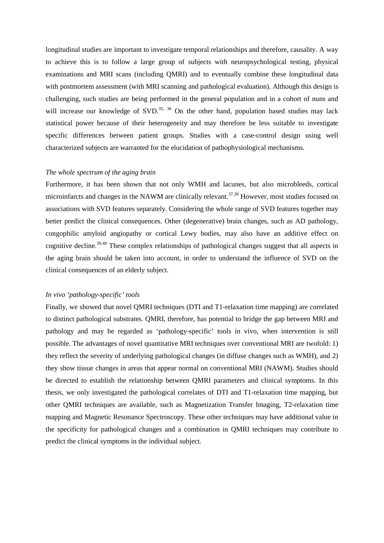longitudinal studies are important to investigate temporal relationships and therefore, causality. A way to achieve this is to follow a large group of subjects with neuropsychological testing, physical examinations and MRI scans (including QMRI) and to eventually combine these longitudinal data with postmortem assessment (with MRI scanning and pathological evaluation). Although this design is challenging, such studies are being performed in the general population and in a cohort of nuns and will increase our knowledge of SVD.<sup>35, 36</sup> On the other hand, population based studies may lack statistical power because of their heterogeneity and may therefore be less suitable to investigate specific differences between patient groups. Studies with a case-control design using well characterized subjects are warranted for the elucidation of pathophysiological mechanisms.

### *The whole spectrum of the aging brain*

Furthermore, it has been shown that not only WMH and lacunes, but also microbleeds, cortical microinfarcts and changes in the NAWM are clinically relevant.<sup>37,38</sup> However, most studies focused on associations with SVD features separately. Considering the whole range of SVD features together may better predict the clinical consequences. Other (degenerative) brain changes, such as AD pathology, congophilic amyloid angiopathy or cortical Lewy bodies, may also have an additive effect on cognitive decline.<sup>39,40</sup> These complex relationships of pathological changes suggest that all aspects in the aging brain should be taken into account, in order to understand the influence of SVD on the clinical consequences of an elderly subject.

# *In vivo 'pathology-specific' tools*

Finally, we showed that novel QMRI techniques (DTI and T1-relaxation time mapping) are correlated to distinct pathological substrates. QMRI, therefore, has potential to bridge the gap between MRI and pathology and may be regarded as 'pathology-specific' tools in vivo, when intervention is still possible. The advantages of novel quantitative MRI techniques over conventional MRI are twofold: 1) they reflect the severity of underlying pathological changes (in diffuse changes such as WMH), and 2) they show tissue changes in areas that appear normal on conventional MRI (NAWM). Studies should be directed to establish the relationship between QMRI parameters and clinical symptoms. In this thesis, we only investigated the pathological correlates of DTI and T1-relaxation time mapping, but other QMRI techniques are available, such as Magnetization Transfer Imaging, T2-relaxation time mapping and Magnetic Resonance Spectroscopy. These other techniques may have additional value in the specificity for pathological changes and a combination in QMRI techniques may contribute to predict the clinical symptoms in the individual subject.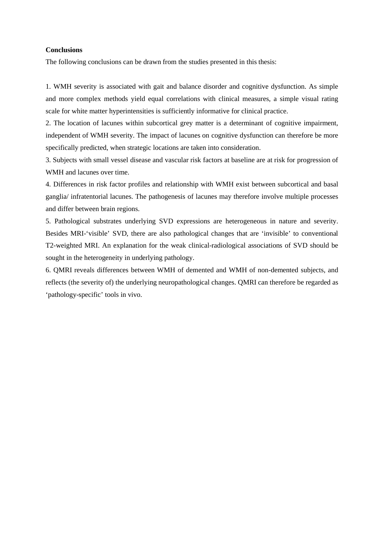# **Conclusions**

The following conclusions can be drawn from the studies presented in this thesis:

1. WMH severity is associated with gait and balance disorder and cognitive dysfunction. As simple and more complex methods yield equal correlations with clinical measures, a simple visual rating scale for white matter hyperintensities is sufficiently informative for clinical practice.

2. The location of lacunes within subcortical grey matter is a determinant of cognitive impairment, independent of WMH severity. The impact of lacunes on cognitive dysfunction can therefore be more specifically predicted, when strategic locations are taken into consideration.

3. Subjects with small vessel disease and vascular risk factors at baseline are at risk for progression of WMH and lacunes over time.

4. Differences in risk factor profiles and relationship with WMH exist between subcortical and basal ganglia/ infratentorial lacunes. The pathogenesis of lacunes may therefore involve multiple processes and differ between brain regions.

5. Pathological substrates underlying SVD expressions are heterogeneous in nature and severity. Besides MRI-'visible' SVD, there are also pathological changes that are 'invisible' to conventional T2-weighted MRI. An explanation for the weak clinical-radiological associations of SVD should be sought in the heterogeneity in underlying pathology.

6. QMRI reveals differences between WMH of demented and WMH of non-demented subjects, and reflects (the severity of) the underlying neuropathological changes. QMRI can therefore be regarded as 'pathology-specific' tools in vivo.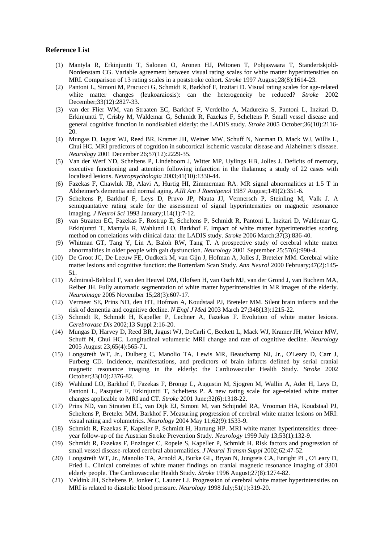#### **Reference List**

- (1) Mantyla R, Erkinjuntti T, Salonen O, Aronen HJ, Peltonen T, Pohjasvaara T, Standertskjold-Nordenstam CG. Variable agreement between visual rating scales for white matter hyperintensities on MRI. Comparison of 13 rating scales in a poststroke cohort. *Stroke* 1997 August;28(8):1614-23.
- (2) Pantoni L, Simoni M, Pracucci G, Schmidt R, Barkhof F, Inzitari D. Visual rating scales for age-related white matter changes (leukoaraiosis): can the heterogeneity be reduced? *Stroke* 2002 December;33(12):2827-33.
- (3) van der Flier WM, van Straaten EC, Barkhof F, Verdelho A, Madureira S, Pantoni L, Inzitari D, Erkinjuntti T, Crisby M, Waldemar G, Schmidt R, Fazekas F, Scheltens P. Small vessel disease and general cognitive function in nondisabled elderly: the LADIS study. *Stroke* 2005 October;36(10):2116- 20.
- (4) Mungas D, Jagust WJ, Reed BR, Kramer JH, Weiner MW, Schuff N, Norman D, Mack WJ, Willis L, Chui HC. MRI predictors of cognition in subcortical ischemic vascular disease and Alzheimer's disease. *Neurology* 2001 December 26;57(12):2229-35.
- (5) Van der Werf YD, Scheltens P, Lindeboom J, Witter MP, Uylings HB, Jolles J. Deficits of memory, executive functioning and attention following infarction in the thalamus; a study of 22 cases with localised lesions. *Neuropsychologia* 2003;41(10):1330-44.
- (6) Fazekas F, Chawluk JB, Alavi A, Hurtig HI, Zimmerman RA. MR signal abnormalities at 1.5 T in Alzheimer's dementia and normal aging. *AJR Am J Roentgenol* 1987 August;149(2):351-6.
- (7) Scheltens P, Barkhof F, Leys D, Pruvo JP, Nauta JJ, Vermersch P, Steinling M, Valk J. A semiquantative rating scale for the assessment of signal hyperintensities on magnetic resonance imaging. *J Neurol Sci* 1993 January;114(1):7-12.
- (8) van Straaten EC, Fazekas F, Rostrup E, Scheltens P, Schmidt R, Pantoni L, Inzitari D, Waldemar G, Erkinjuntti T, Mantyla R, Wahlund LO, Barkhof F. Impact of white matter hyperintensities scoring method on correlations with clinical data: the LADIS study. *Stroke* 2006 March;37(3):836-40.
- (9) Whitman GT, Tang Y, Lin A, Baloh RW, Tang T. A prospective study of cerebral white matter abnormalities in older people with gait dysfunction. *Neurology* 2001 September 25;57(6):990-4.
- (10) De Groot JC, De Leeuw FE, Oudkerk M, van Gijn J, Hofman A, Jolles J, Breteler MM. Cerebral white matter lesions and cognitive function: the Rotterdam Scan Study. *Ann Neurol* 2000 February;47(2):145- 51.
- (11) Admiraal-Behloul F, van den Heuvel DM, Olofsen H, van Osch MJ, van der Grond J, van Buchem MA, Reiber JH. Fully automatic segmentation of white matter hyperintensities in MR images of the elderly. *Neuroimage* 2005 November 15;28(3):607-17.
- (12) Vermeer SE, Prins ND, den HT, Hofman A, Koudstaal PJ, Breteler MM. Silent brain infarcts and the risk of dementia and cognitive decline. *N Engl J Med* 2003 March 27;348(13):1215-22.
- (13) Schmidt R, Schmidt H, Kapeller P, Lechner A, Fazekas F. Evolution of white matter lesions. *Cerebrovasc Dis* 2002;13 Suppl 2:16-20.
- (14) Mungas D, Harvey D, Reed BR, Jagust WJ, DeCarli C, Beckett L, Mack WJ, Kramer JH, Weiner MW, Schuff N, Chui HC. Longitudinal volumetric MRI change and rate of cognitive decline. *Neurology* 2005 August 23;65(4):565-71.
- (15) Longstreth WT, Jr., Dulberg C, Manolio TA, Lewis MR, Beauchamp NJ, Jr., O'Leary D, Carr J, Furberg CD. Incidence, manifestations, and predictors of brain infarcts defined by serial cranial magnetic resonance imaging in the elderly: the Cardiovascular Health Study. *Stroke* 2002 October;33(10):2376-82.
- (16) Wahlund LO, Barkhof F, Fazekas F, Bronge L, Augustin M, Sjogren M, Wallin A, Ader H, Leys D, Pantoni L, Pasquier F, Erkinjuntti T, Scheltens P. A new rating scale for age-related white matter changes applicable to MRI and CT. *Stroke* 2001 June;32(6):1318-22.
- (17) Prins ND, van Straaten EC, van Dijk EJ, Simoni M, van Schijndel RA, Vrooman HA, Koudstaal PJ, Scheltens P, Breteler MM, Barkhof F. Measuring progression of cerebral white matter lesions on MRI: visual rating and volumetrics. *Neurology* 2004 May 11;62(9):1533-9.
- (18) Schmidt R, Fazekas F, Kapeller P, Schmidt H, Hartung HP. MRI white matter hyperintensities: threeyear follow-up of the Austrian Stroke Prevention Study. *Neurology* 1999 July 13;53(1):132-9.
- (19) Schmidt R, Fazekas F, Enzinger C, Ropele S, Kapeller P, Schmidt H. Risk factors and progression of small vessel disease-related cerebral abnormalities. *J Neural Transm Suppl* 2002;62:47-52.
- (20) Longstreth WT, Jr., Manolio TA, Arnold A, Burke GL, Bryan N, Jungreis CA, Enright PL, O'Leary D, Fried L. Clinical correlates of white matter findings on cranial magnetic resonance imaging of 3301 elderly people. The Cardiovascular Health Study. *Stroke* 1996 August;27(8):1274-82.
- (21) Veldink JH, Scheltens P, Jonker C, Launer LJ. Progression of cerebral white matter hyperintensities on MRI is related to diastolic blood pressure. *Neurology* 1998 July;51(1):319-20.